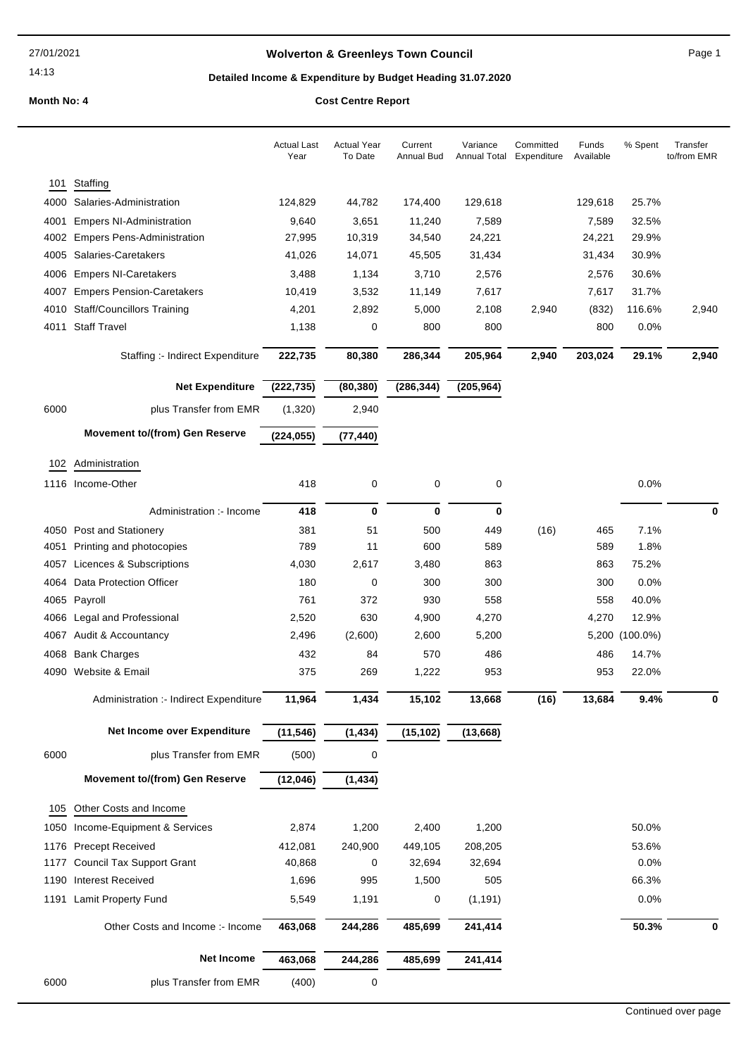# **Wolverton & Greenleys Town Council** Magnetic Page 1

# **Detailed Income & Expenditure by Budget Heading 31.07.2020**

|              |                                                          | <b>Actual Last</b><br>Year | <b>Actual Year</b><br>To Date | Current<br><b>Annual Bud</b> | Variance<br>Annual Total | Committed<br>Expenditure | Funds<br>Available | % Spent        | Transfer<br>to/from EMR |
|--------------|----------------------------------------------------------|----------------------------|-------------------------------|------------------------------|--------------------------|--------------------------|--------------------|----------------|-------------------------|
|              | Staffing                                                 |                            |                               |                              |                          |                          |                    |                |                         |
| 101<br>4000  | Salaries-Administration                                  | 124,829                    | 44,782                        |                              | 129,618                  |                          | 129,618            | 25.7%          |                         |
|              |                                                          |                            |                               | 174,400                      |                          |                          |                    |                |                         |
| 4001<br>4002 | <b>Empers NI-Administration</b>                          | 9,640<br>27,995            | 3,651<br>10,319               | 11,240<br>34,540             | 7,589                    |                          | 7,589<br>24,221    | 32.5%<br>29.9% |                         |
| 4005         | <b>Empers Pens-Administration</b><br>Salaries-Caretakers |                            |                               |                              | 24,221                   |                          |                    | 30.9%          |                         |
|              |                                                          | 41,026                     | 14,071                        | 45,505                       | 31,434                   |                          | 31,434             |                |                         |
| 4006         | <b>Empers NI-Caretakers</b>                              | 3,488                      | 1,134                         | 3,710                        | 2,576                    |                          | 2,576              | 30.6%          |                         |
| 4007         | <b>Empers Pension-Caretakers</b>                         | 10,419                     | 3,532                         | 11,149                       | 7,617                    |                          | 7,617              | 31.7%          |                         |
|              | 4010 Staff/Councillors Training                          | 4,201                      | 2,892                         | 5,000                        | 2,108                    | 2,940                    | (832)              | 116.6%         | 2,940                   |
| 4011         | <b>Staff Travel</b>                                      | 1,138                      | 0                             | 800                          | 800                      |                          | 800                | 0.0%           |                         |
|              | Staffing :- Indirect Expenditure                         | 222,735                    | 80,380                        | 286,344                      | 205,964                  | 2,940                    | 203,024            | 29.1%          | 2,940                   |
|              | <b>Net Expenditure</b>                                   | (222, 735)                 | (80, 380)                     | (286, 344)                   | (205, 964)               |                          |                    |                |                         |
| 6000         | plus Transfer from EMR                                   | (1,320)                    | 2,940                         |                              |                          |                          |                    |                |                         |
|              | <b>Movement to/(from) Gen Reserve</b>                    | (224, 055)                 | (77, 440)                     |                              |                          |                          |                    |                |                         |
|              | 102 Administration                                       |                            |                               |                              |                          |                          |                    |                |                         |
|              | 1116 Income-Other                                        | 418                        | 0                             | 0                            | 0                        |                          |                    | 0.0%           |                         |
|              | Administration :- Income                                 | 418                        | $\bf{0}$                      | $\mathbf 0$                  | 0                        |                          |                    |                | $\mathbf 0$             |
|              | 4050 Post and Stationery                                 | 381                        | 51                            | 500                          | 449                      | (16)                     | 465                | 7.1%           |                         |
| 4051         | Printing and photocopies                                 | 789                        | 11                            | 600                          | 589                      |                          | 589                | 1.8%           |                         |
| 4057         | Licences & Subscriptions                                 | 4,030                      | 2,617                         | 3,480                        | 863                      |                          | 863                | 75.2%          |                         |
| 4064         | Data Protection Officer                                  | 180                        | 0                             | 300                          | 300                      |                          | 300                | 0.0%           |                         |
|              | 4065 Payroll                                             | 761                        | 372                           | 930                          | 558                      |                          | 558                | 40.0%          |                         |
| 4066         | Legal and Professional                                   | 2,520                      | 630                           | 4,900                        | 4,270                    |                          | 4,270              | 12.9%          |                         |
|              | 4067 Audit & Accountancy                                 | 2,496                      | (2,600)                       | 2,600                        | 5,200                    |                          |                    | 5,200 (100.0%) |                         |
| 4068         | <b>Bank Charges</b>                                      | 432                        | 84                            | 570                          | 486                      |                          | 486                | 14.7%          |                         |
|              | 4090 Website & Email                                     | 375                        | 269                           | 1,222                        | 953                      |                          | 953                | 22.0%          |                         |
|              |                                                          |                            |                               |                              |                          |                          |                    |                |                         |
|              | Administration :- Indirect Expenditure                   | 11,964                     | 1,434                         | 15,102                       | 13,668                   | (16)                     | 13,684             | 9.4%           | ŋ                       |
|              | Net Income over Expenditure                              | (11, 546)                  | (1, 434)                      | (15, 102)                    | (13,668)                 |                          |                    |                |                         |
| 6000         | plus Transfer from EMR                                   | (500)                      | $\mathbf 0$                   |                              |                          |                          |                    |                |                         |
|              | <b>Movement to/(from) Gen Reserve</b>                    | (12,046)                   | (1, 434)                      |                              |                          |                          |                    |                |                         |
| 105          | Other Costs and Income                                   |                            |                               |                              |                          |                          |                    |                |                         |
| 1050         | Income-Equipment & Services                              | 2,874                      | 1,200                         | 2,400                        | 1,200                    |                          |                    | 50.0%          |                         |
| 1176         | <b>Precept Received</b>                                  | 412,081                    | 240,900                       | 449,105                      | 208,205                  |                          |                    | 53.6%          |                         |
| 1177         | <b>Council Tax Support Grant</b>                         | 40,868                     | 0                             | 32,694                       | 32,694                   |                          |                    | 0.0%           |                         |
|              | 1190 Interest Received                                   | 1,696                      | 995                           | 1,500                        | 505                      |                          |                    | 66.3%          |                         |
|              | 1191 Lamit Property Fund                                 | 5,549                      | 1,191                         | 0                            | (1, 191)                 |                          |                    | 0.0%           |                         |
|              | Other Costs and Income :- Income                         | 463,068                    | 244,286                       | 485,699                      | 241,414                  |                          |                    | 50.3%          | 0                       |
|              | <b>Net Income</b>                                        | 463,068                    | 244,286                       | 485,699                      | 241,414                  |                          |                    |                |                         |
|              |                                                          |                            |                               |                              |                          |                          |                    |                |                         |
| 6000         | plus Transfer from EMR                                   | (400)                      | $\pmb{0}$                     |                              |                          |                          |                    |                |                         |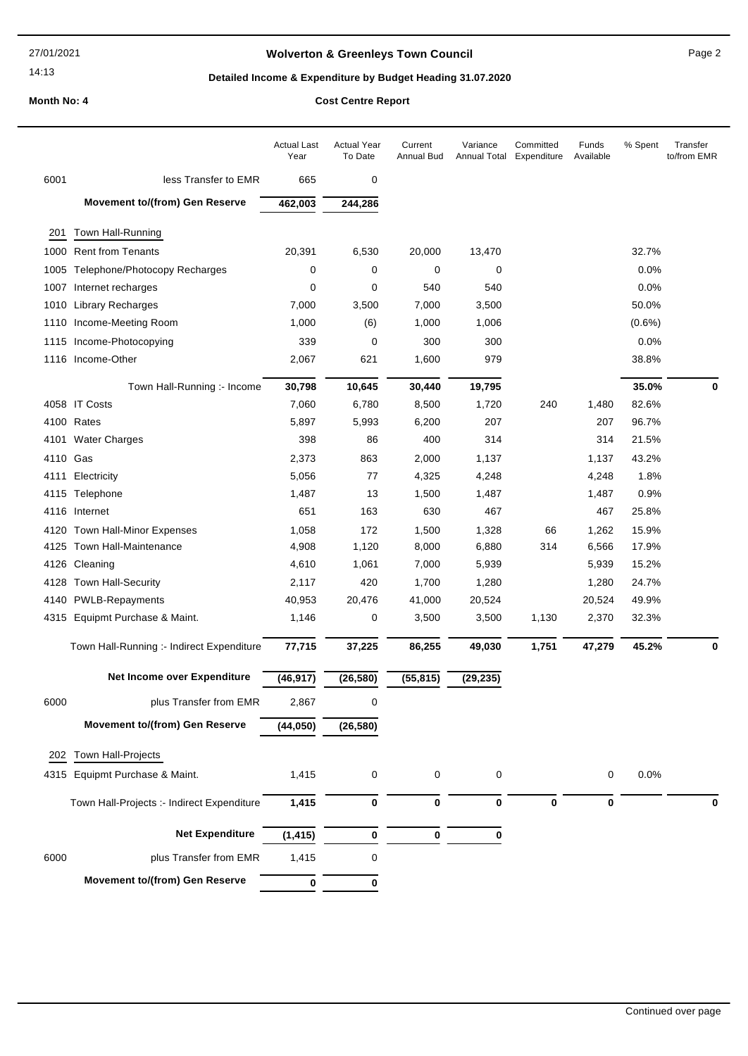# **Wolverton & Greenleys Town Council** Magness Council Page 2

# **Detailed Income & Expenditure by Budget Heading 31.07.2020**

|  | <b>COST Centre Report</b> |
|--|---------------------------|
|  |                           |

|          |                                            | <b>Actual Last</b><br>Year | <b>Actual Year</b><br>To Date | Current<br>Annual Bud | Variance<br>Annual Total | Committed<br>Expenditure | Funds<br>Available | % Spent   | Transfer<br>to/from EMR |
|----------|--------------------------------------------|----------------------------|-------------------------------|-----------------------|--------------------------|--------------------------|--------------------|-----------|-------------------------|
| 6001     | less Transfer to EMR                       | 665                        | 0                             |                       |                          |                          |                    |           |                         |
|          | <b>Movement to/(from) Gen Reserve</b>      | 462,003                    | 244,286                       |                       |                          |                          |                    |           |                         |
| 201      | Town Hall-Running                          |                            |                               |                       |                          |                          |                    |           |                         |
|          | 1000 Rent from Tenants                     | 20,391                     | 6,530                         | 20,000                | 13,470                   |                          |                    | 32.7%     |                         |
|          | 1005 Telephone/Photocopy Recharges         | 0                          | 0                             | 0                     | 0                        |                          |                    | 0.0%      |                         |
|          | 1007 Internet recharges                    | 0                          | 0                             | 540                   | 540                      |                          |                    | 0.0%      |                         |
| 1010     | <b>Library Recharges</b>                   | 7,000                      | 3,500                         | 7,000                 | 3,500                    |                          |                    | 50.0%     |                         |
|          | 1110 Income-Meeting Room                   | 1,000                      | (6)                           | 1,000                 | 1,006                    |                          |                    | $(0.6\%)$ |                         |
|          | 1115 Income-Photocopying                   | 339                        | 0                             | 300                   | 300                      |                          |                    | 0.0%      |                         |
|          | 1116 Income-Other                          | 2,067                      | 621                           | 1,600                 | 979                      |                          |                    | 38.8%     |                         |
|          | Town Hall-Running :- Income                | 30,798                     | 10,645                        | 30,440                | 19,795                   |                          |                    | 35.0%     | $\mathbf 0$             |
|          | 4058 IT Costs                              | 7,060                      | 6,780                         | 8,500                 | 1,720                    | 240                      | 1,480              | 82.6%     |                         |
|          | 4100 Rates                                 | 5,897                      | 5,993                         | 6,200                 | 207                      |                          | 207                | 96.7%     |                         |
|          | 4101 Water Charges                         | 398                        | 86                            | 400                   | 314                      |                          | 314                | 21.5%     |                         |
| 4110 Gas |                                            | 2,373                      | 863                           | 2,000                 | 1,137                    |                          | 1,137              | 43.2%     |                         |
| 4111     | Electricity                                | 5,056                      | 77                            | 4,325                 | 4,248                    |                          | 4,248              | 1.8%      |                         |
|          | 4115 Telephone                             | 1,487                      | 13                            | 1,500                 | 1,487                    |                          | 1,487              | 0.9%      |                         |
|          | 4116 Internet                              | 651                        | 163                           | 630                   | 467                      |                          | 467                | 25.8%     |                         |
|          | 4120 Town Hall-Minor Expenses              | 1,058                      | 172                           | 1,500                 | 1,328                    | 66                       | 1,262              | 15.9%     |                         |
| 4125     | Town Hall-Maintenance                      | 4,908                      | 1,120                         | 8,000                 | 6,880                    | 314                      | 6,566              | 17.9%     |                         |
|          | 4126 Cleaning                              | 4,610                      | 1,061                         | 7,000                 | 5,939                    |                          | 5,939              | 15.2%     |                         |
| 4128     | Town Hall-Security                         | 2,117                      | 420                           | 1,700                 | 1,280                    |                          | 1,280              | 24.7%     |                         |
|          | 4140 PWLB-Repayments                       | 40,953                     | 20,476                        | 41,000                | 20,524                   |                          | 20,524             | 49.9%     |                         |
|          | 4315 Equipmt Purchase & Maint.             | 1,146                      | 0                             | 3,500                 | 3,500                    | 1,130                    | 2,370              | 32.3%     |                         |
|          | Town Hall-Running :- Indirect Expenditure  | 77,715                     | 37,225                        | 86,255                | 49,030                   | 1,751                    | 47,279             | 45.2%     | $\mathbf 0$             |
|          | Net Income over Expenditure                | (46, 917)                  | (26, 580)                     | (55, 815)             | (29, 235)                |                          |                    |           |                         |
| 6000     | plus Transfer from EMR                     | 2,867                      | 0                             |                       |                          |                          |                    |           |                         |
|          | <b>Movement to/(from) Gen Reserve</b>      | (44, 050)                  | (26, 580)                     |                       |                          |                          |                    |           |                         |
| 202      | Town Hall-Projects                         |                            |                               |                       |                          |                          |                    |           |                         |
|          | 4315 Equipmt Purchase & Maint.             | 1,415                      | $\pmb{0}$                     | $\mathbf 0$           | 0                        |                          | 0                  | 0.0%      |                         |
|          | Town Hall-Projects :- Indirect Expenditure | 1,415                      | 0                             | $\bf{0}$              | 0                        | 0                        | 0                  |           | 0                       |
|          | <b>Net Expenditure</b>                     |                            |                               | $\pmb{0}$             |                          |                          |                    |           |                         |
|          |                                            | (1, 415)                   | 0                             |                       | 0                        |                          |                    |           |                         |
| 6000     | plus Transfer from EMR                     | 1,415                      | 0                             |                       |                          |                          |                    |           |                         |
|          | <b>Movement to/(from) Gen Reserve</b>      | 0                          | 0                             |                       |                          |                          |                    |           |                         |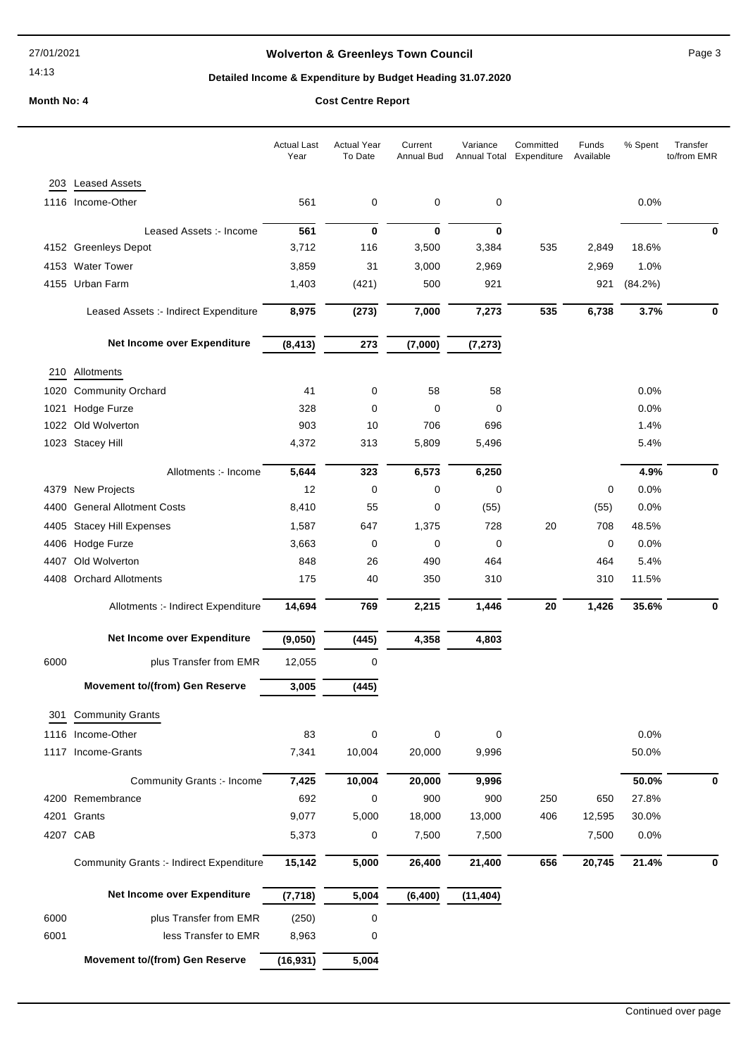# **Wolverton & Greenleys Town Council** Magness Council Page 3

# **Detailed Income & Expenditure by Budget Heading 31.07.2020**

|      |                                          | <b>Actual Last</b><br>Year | <b>Actual Year</b><br>To Date | Current<br>Annual Bud | Variance<br>Annual Total | Committed<br>Expenditure | Funds<br>Available | % Spent | Transfer<br>to/from EMR |
|------|------------------------------------------|----------------------------|-------------------------------|-----------------------|--------------------------|--------------------------|--------------------|---------|-------------------------|
|      | 203 Leased Assets                        |                            |                               |                       |                          |                          |                    |         |                         |
|      | 1116 Income-Other                        | 561                        | 0                             | 0                     | 0                        |                          |                    | 0.0%    |                         |
|      |                                          |                            |                               |                       |                          |                          |                    |         |                         |
|      | Leased Assets :- Income                  | 561                        | 0                             | 0                     | 0                        |                          |                    |         | 0                       |
|      | 4152 Greenleys Depot                     | 3,712                      | 116                           | 3,500                 | 3,384                    | 535                      | 2,849              | 18.6%   |                         |
|      | 4153 Water Tower                         | 3,859                      | 31                            | 3,000                 | 2,969                    |                          | 2,969              | 1.0%    |                         |
|      | 4155 Urban Farm                          | 1,403                      | (421)                         | 500                   | 921                      |                          | 921                | (84.2%) |                         |
|      | Leased Assets :- Indirect Expenditure    | 8,975                      | (273)                         | 7,000                 | 7,273                    | 535                      | 6,738              | 3.7%    | 0                       |
|      | Net Income over Expenditure              | (8, 413)                   | 273                           | (7,000)               | (7, 273)                 |                          |                    |         |                         |
| 210  | Allotments                               |                            |                               |                       |                          |                          |                    |         |                         |
| 1020 | <b>Community Orchard</b>                 | 41                         | 0                             | 58                    | 58                       |                          |                    | 0.0%    |                         |
| 1021 | Hodge Furze                              | 328                        | 0                             | 0                     | 0                        |                          |                    | 0.0%    |                         |
|      | 1022 Old Wolverton                       | 903                        | 10                            | 706                   | 696                      |                          |                    | 1.4%    |                         |
|      | 1023 Stacey Hill                         | 4,372                      | 313                           | 5,809                 | 5,496                    |                          |                    | 5.4%    |                         |
|      | Allotments :- Income                     | 5,644                      | 323                           | 6,573                 | 6,250                    |                          |                    | 4.9%    | 0                       |
|      | 4379 New Projects                        | 12                         | $\mathbf 0$                   | 0                     | 0                        |                          | 0                  | 0.0%    |                         |
| 4400 | <b>General Allotment Costs</b>           | 8,410                      | 55                            | 0                     | (55)                     |                          | (55)               | 0.0%    |                         |
| 4405 | <b>Stacey Hill Expenses</b>              | 1,587                      | 647                           | 1,375                 | 728                      | 20                       | 708                | 48.5%   |                         |
|      | 4406 Hodge Furze                         | 3,663                      | 0                             | 0                     | 0                        |                          | 0                  | 0.0%    |                         |
| 4407 | Old Wolverton                            | 848                        | 26                            | 490                   | 464                      |                          | 464                | 5.4%    |                         |
|      | 4408 Orchard Allotments                  | 175                        | 40                            | 350                   | 310                      |                          | 310                | 11.5%   |                         |
|      | Allotments :- Indirect Expenditure       | 14,694                     | 769                           | 2,215                 | 1,446                    | 20                       | 1,426              | 35.6%   | 0                       |
|      | Net Income over Expenditure              | (9,050)                    | (445)                         | 4,358                 | 4,803                    |                          |                    |         |                         |
| 6000 | plus Transfer from EMR                   | 12,055                     | 0                             |                       |                          |                          |                    |         |                         |
|      | <b>Movement to/(from) Gen Reserve</b>    | 3,005                      | (445)                         |                       |                          |                          |                    |         |                         |
|      | 301 Community Grants                     |                            |                               |                       |                          |                          |                    |         |                         |
|      | 1116 Income-Other                        | 83                         | $\pmb{0}$                     | 0                     | 0                        |                          |                    | 0.0%    |                         |
|      | 1117 Income-Grants                       | 7,341                      | 10,004                        | 20,000                | 9,996                    |                          |                    | 50.0%   |                         |
|      | Community Grants :- Income               | 7,425                      | 10,004                        | 20,000                | 9,996                    |                          |                    | 50.0%   | 0                       |
|      | 4200 Remembrance                         | 692                        | 0                             | 900                   | 900                      | 250                      | 650                | 27.8%   |                         |
| 4201 | Grants                                   | 9,077                      | 5,000                         | 18,000                | 13,000                   | 406                      | 12,595             | 30.0%   |                         |
|      | 4207 CAB                                 | 5,373                      | 0                             | 7,500                 | 7,500                    |                          | 7,500              | 0.0%    |                         |
|      | Community Grants :- Indirect Expenditure | 15,142                     | 5,000                         | 26,400                | 21,400                   | 656                      | 20,745             | 21.4%   | 0                       |
|      | Net Income over Expenditure              | (7, 718)                   | 5,004                         | (6, 400)              | (11, 404)                |                          |                    |         |                         |
| 6000 | plus Transfer from EMR                   | (250)                      | 0                             |                       |                          |                          |                    |         |                         |
| 6001 | less Transfer to EMR                     | 8,963                      | 0                             |                       |                          |                          |                    |         |                         |
|      | <b>Movement to/(from) Gen Reserve</b>    | (16, 931)                  | 5,004                         |                       |                          |                          |                    |         |                         |
|      |                                          |                            |                               |                       |                          |                          |                    |         |                         |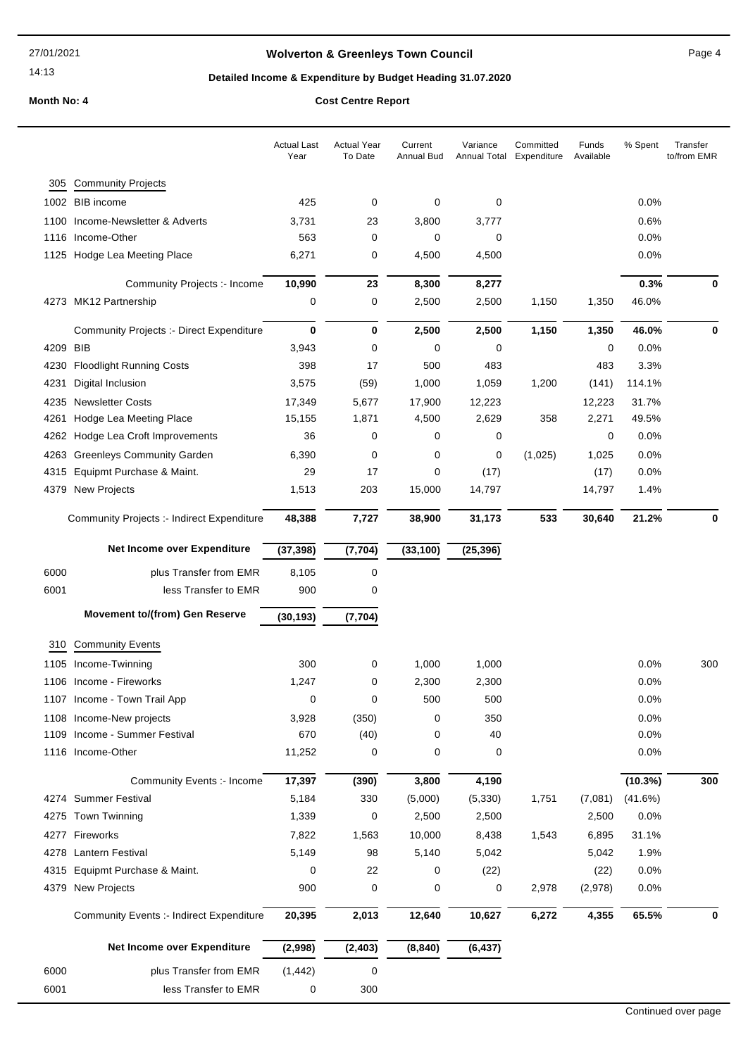# **Wolverton & Greenleys Town Council** Magnetic Page 4

# **Detailed Income & Expenditure by Budget Heading 31.07.2020**

|      |                                                 | <b>Actual Last</b><br>Year | <b>Actual Year</b><br>To Date | Current<br>Annual Bud | Variance  | Committed<br>Annual Total Expenditure | Funds<br>Available | % Spent | Transfer<br>to/from EMR |
|------|-------------------------------------------------|----------------------------|-------------------------------|-----------------------|-----------|---------------------------------------|--------------------|---------|-------------------------|
| 305  | <b>Community Projects</b>                       |                            |                               |                       |           |                                       |                    |         |                         |
|      | 1002 BIB income                                 | 425                        | 0                             | 0                     | 0         |                                       |                    | $0.0\%$ |                         |
| 1100 | Income-Newsletter & Adverts                     | 3,731                      | 23                            | 3,800                 | 3,777     |                                       |                    | 0.6%    |                         |
| 1116 | Income-Other                                    | 563                        | 0                             | 0                     | 0         |                                       |                    | 0.0%    |                         |
|      | 1125 Hodge Lea Meeting Place                    | 6,271                      | 0                             | 4,500                 | 4,500     |                                       |                    | 0.0%    |                         |
|      | Community Projects :- Income                    | 10,990                     | 23                            | 8,300                 | 8,277     |                                       |                    | 0.3%    | 0                       |
|      | 4273 MK12 Partnership                           | 0                          | 0                             | 2,500                 | 2,500     | 1,150                                 | 1,350              | 46.0%   |                         |
|      | <b>Community Projects :- Direct Expenditure</b> | 0                          | $\bf{0}$                      | 2,500                 | 2,500     | 1,150                                 | 1,350              | 46.0%   | 0                       |
| 4209 | <b>BIB</b>                                      | 3,943                      | 0                             | 0                     | 0         |                                       | 0                  | 0.0%    |                         |
| 4230 | <b>Floodlight Running Costs</b>                 | 398                        | 17                            | 500                   | 483       |                                       | 483                | 3.3%    |                         |
| 4231 | Digital Inclusion                               | 3,575                      | (59)                          | 1,000                 | 1,059     | 1,200                                 | (141)              | 114.1%  |                         |
| 4235 | <b>Newsletter Costs</b>                         | 17,349                     | 5,677                         | 17,900                | 12,223    |                                       | 12,223             | 31.7%   |                         |
| 4261 | Hodge Lea Meeting Place                         | 15,155                     | 1,871                         | 4,500                 | 2,629     | 358                                   | 2,271              | 49.5%   |                         |
| 4262 | Hodge Lea Croft Improvements                    | 36                         | 0                             | 0                     | 0         |                                       | 0                  | $0.0\%$ |                         |
| 4263 | <b>Greenleys Community Garden</b>               | 6,390                      | 0                             | 0                     | 0         | (1,025)                               | 1,025              | 0.0%    |                         |
| 4315 | Equipmt Purchase & Maint.                       | 29                         | 17                            | 0                     | (17)      |                                       | (17)               | 0.0%    |                         |
| 4379 | New Projects                                    | 1,513                      | 203                           | 15,000                | 14,797    |                                       | 14,797             | 1.4%    |                         |
|      | Community Projects :- Indirect Expenditure      | 48,388                     | 7,727                         | 38,900                | 31,173    | 533                                   | 30,640             | 21.2%   | 0                       |
|      | Net Income over Expenditure                     | (37, 398)                  | (7, 704)                      | (33, 100)             | (25, 396) |                                       |                    |         |                         |
| 6000 | plus Transfer from EMR                          | 8,105                      | 0                             |                       |           |                                       |                    |         |                         |
| 6001 | less Transfer to EMR                            | 900                        | 0                             |                       |           |                                       |                    |         |                         |
|      | <b>Movement to/(from) Gen Reserve</b>           | (30, 193)                  | (7, 704)                      |                       |           |                                       |                    |         |                         |
|      |                                                 |                            |                               |                       |           |                                       |                    |         |                         |
| 310  | <b>Community Events</b>                         |                            |                               |                       |           |                                       |                    |         |                         |
|      | 1105 Income-Twinning                            | 300                        | 0                             | 1,000                 | 1,000     |                                       |                    | 0.0%    | 300                     |
|      | 1106 Income - Fireworks                         | 1,247                      | 0                             | 2,300                 | 2,300     |                                       |                    | 0.0%    |                         |
|      | 1107 Income - Town Trail App                    | 0                          | 0                             | 500                   | 500       |                                       |                    | 0.0%    |                         |
|      | 1108 Income-New projects                        | 3,928                      | (350)                         | 0                     | 350       |                                       |                    | 0.0%    |                         |
| 1109 | Income - Summer Festival                        | 670                        | (40)                          | 0                     | 40        |                                       |                    | 0.0%    |                         |
|      | 1116 Income-Other                               | 11,252                     | 0                             | 0                     | 0         |                                       |                    | 0.0%    |                         |
|      | Community Events :- Income                      | 17,397                     | (390)                         | 3,800                 | 4,190     |                                       |                    | (10.3%) | 300                     |
|      | 4274 Summer Festival                            | 5,184                      | 330                           | (5,000)               | (5, 330)  | 1,751                                 | (7,081)            | (41.6%) |                         |
| 4275 | <b>Town Twinning</b>                            | 1,339                      | 0                             | 2,500                 | 2,500     |                                       | 2,500              | $0.0\%$ |                         |
| 4277 | Fireworks                                       | 7,822                      | 1,563                         | 10,000                | 8,438     | 1,543                                 | 6,895              | 31.1%   |                         |
| 4278 | Lantern Festival                                | 5,149                      | 98                            | 5,140                 | 5,042     |                                       | 5,042              | 1.9%    |                         |
| 4315 | Equipmt Purchase & Maint.                       | 0                          | 22                            | 0                     | (22)      |                                       | (22)               | 0.0%    |                         |
| 4379 | New Projects                                    | 900                        | 0                             | 0                     | 0         | 2,978                                 | (2,978)            | 0.0%    |                         |
|      | <b>Community Events :- Indirect Expenditure</b> | 20,395                     | 2,013                         | 12,640                | 10,627    | 6,272                                 | 4,355              | 65.5%   | 0                       |
|      | Net Income over Expenditure                     | (2,998)                    | (2, 403)                      | (8, 840)              | (6, 437)  |                                       |                    |         |                         |
| 6000 | plus Transfer from EMR                          | (1, 442)                   | $\pmb{0}$                     |                       |           |                                       |                    |         |                         |
| 6001 | less Transfer to EMR                            | 0                          | 300                           |                       |           |                                       |                    |         |                         |
|      |                                                 |                            |                               |                       |           |                                       |                    |         |                         |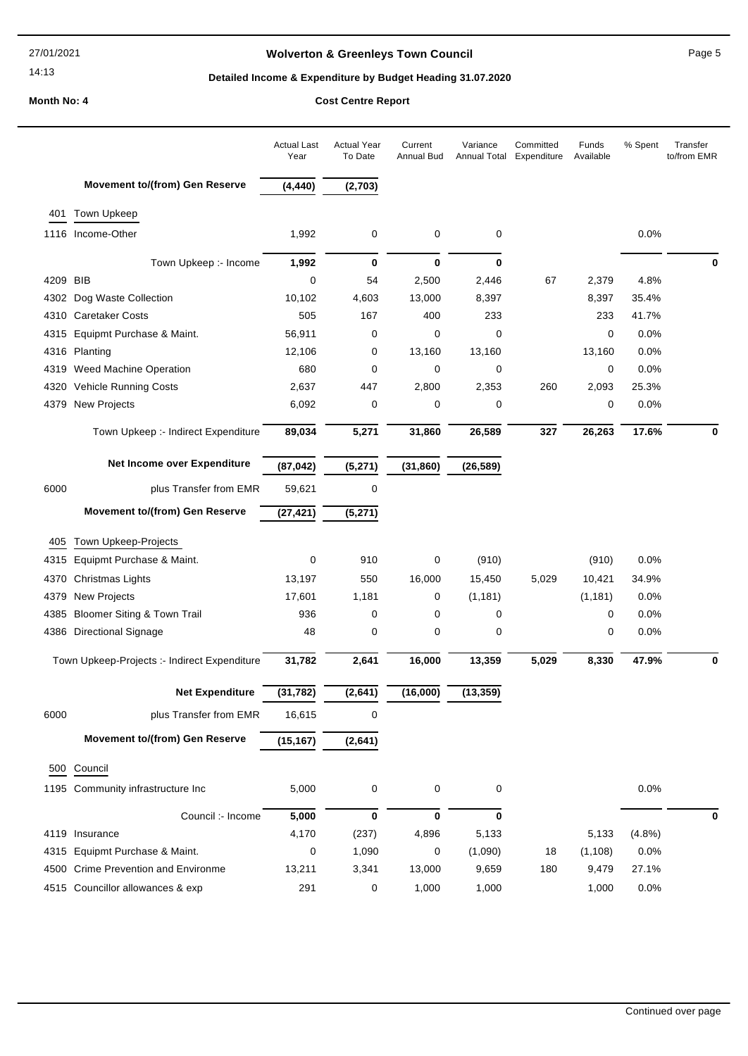# **Wolverton & Greenleys Town Council Page 5** Page 5

# **Detailed Income & Expenditure by Budget Heading 31.07.2020**

|          |                                              | <b>Actual Last</b><br>Year | Actual Year<br>To Date | Current<br>Annual Bud | Variance<br>Annual Total | Committed<br>Expenditure | Funds<br>Available | % Spent | Transfer<br>to/from EMR |
|----------|----------------------------------------------|----------------------------|------------------------|-----------------------|--------------------------|--------------------------|--------------------|---------|-------------------------|
|          | <b>Movement to/(from) Gen Reserve</b>        | (4, 440)                   | (2,703)                |                       |                          |                          |                    |         |                         |
|          | 401 Town Upkeep                              |                            |                        |                       |                          |                          |                    |         |                         |
|          | 1116 Income-Other                            | 1,992                      | 0                      | 0                     | 0                        |                          |                    | 0.0%    |                         |
|          | Town Upkeep :- Income                        | 1,992                      | 0                      | $\mathbf 0$           | 0                        |                          |                    |         | 0                       |
| 4209 BIB |                                              | $\mathbf 0$                | 54                     | 2,500                 | 2,446                    | 67                       | 2,379              | 4.8%    |                         |
|          | 4302 Dog Waste Collection                    | 10,102                     | 4,603                  | 13,000                | 8,397                    |                          | 8,397              | 35.4%   |                         |
|          | 4310 Caretaker Costs                         | 505                        | 167                    | 400                   | 233                      |                          | 233                | 41.7%   |                         |
|          | 4315 Equipmt Purchase & Maint.               | 56,911                     | 0                      | 0                     | 0                        |                          | 0                  | 0.0%    |                         |
|          | 4316 Planting                                | 12,106                     | 0                      | 13,160                | 13,160                   |                          | 13,160             | 0.0%    |                         |
|          | 4319 Weed Machine Operation                  | 680                        | 0                      | 0                     | 0                        |                          | 0                  | 0.0%    |                         |
|          | 4320 Vehicle Running Costs                   | 2,637                      | 447                    | 2,800                 | 2,353                    | 260                      | 2,093              | 25.3%   |                         |
|          | 4379 New Projects                            | 6,092                      | 0                      | 0                     | 0                        |                          | 0                  | 0.0%    |                         |
|          | Town Upkeep :- Indirect Expenditure          | 89,034                     | 5,271                  | 31,860                | 26,589                   | 327                      | 26,263             | 17.6%   | 0                       |
|          | Net Income over Expenditure                  | (87, 042)                  | (5, 271)               | (31, 860)             | (26, 589)                |                          |                    |         |                         |
| 6000     | plus Transfer from EMR                       | 59,621                     | 0                      |                       |                          |                          |                    |         |                         |
|          | <b>Movement to/(from) Gen Reserve</b>        | (27, 421)                  | (5, 271)               |                       |                          |                          |                    |         |                         |
| 405      | Town Upkeep-Projects                         |                            |                        |                       |                          |                          |                    |         |                         |
| 4315     | Equipmt Purchase & Maint.                    | 0                          | 910                    | 0                     | (910)                    |                          | (910)              | 0.0%    |                         |
|          | 4370 Christmas Lights                        | 13,197                     | 550                    | 16,000                | 15,450                   | 5,029                    | 10,421             | 34.9%   |                         |
| 4379     | <b>New Projects</b>                          | 17,601                     | 1,181                  | 0                     | (1, 181)                 |                          | (1, 181)           | 0.0%    |                         |
| 4385     | <b>Bloomer Siting &amp; Town Trail</b>       | 936                        | 0                      | 0                     | 0                        |                          | 0                  | 0.0%    |                         |
|          | 4386 Directional Signage                     | 48                         | 0                      | 0                     | 0                        |                          | 0                  | 0.0%    |                         |
|          | Town Upkeep-Projects :- Indirect Expenditure | 31,782                     | 2,641                  | 16,000                | 13,359                   | 5,029                    | 8,330              | 47.9%   | 0                       |
|          | <b>Net Expenditure</b>                       | (31, 782)                  | (2,641)                | (16,000)              | (13, 359)                |                          |                    |         |                         |
| 6000     | plus Transfer from EMR                       | 16,615                     | $\pmb{0}$              |                       |                          |                          |                    |         |                         |
|          | <b>Movement to/(from) Gen Reserve</b>        | (15, 167)                  | (2,641)                |                       |                          |                          |                    |         |                         |
|          | 500 Council                                  |                            |                        |                       |                          |                          |                    |         |                         |
|          | 1195 Community infrastructure Inc            | 5,000                      | 0                      | 0                     | 0                        |                          |                    | 0.0%    |                         |
|          | Council :- Income                            | 5,000                      | 0                      | $\mathbf 0$           | 0                        |                          |                    |         | 0                       |
|          | 4119 Insurance                               | 4,170                      | (237)                  | 4,896                 | 5,133                    |                          | 5,133              | (4.8%)  |                         |
|          | 4315 Equipmt Purchase & Maint.               | 0                          | 1,090                  | 0                     | (1,090)                  | 18                       | (1, 108)           | 0.0%    |                         |
|          | 4500 Crime Prevention and Environme          | 13,211                     | 3,341                  | 13,000                | 9,659                    | 180                      | 9,479              | 27.1%   |                         |
|          | 4515 Councillor allowances & exp             | 291                        | 0                      | 1,000                 | 1,000                    |                          | 1,000              | 0.0%    |                         |